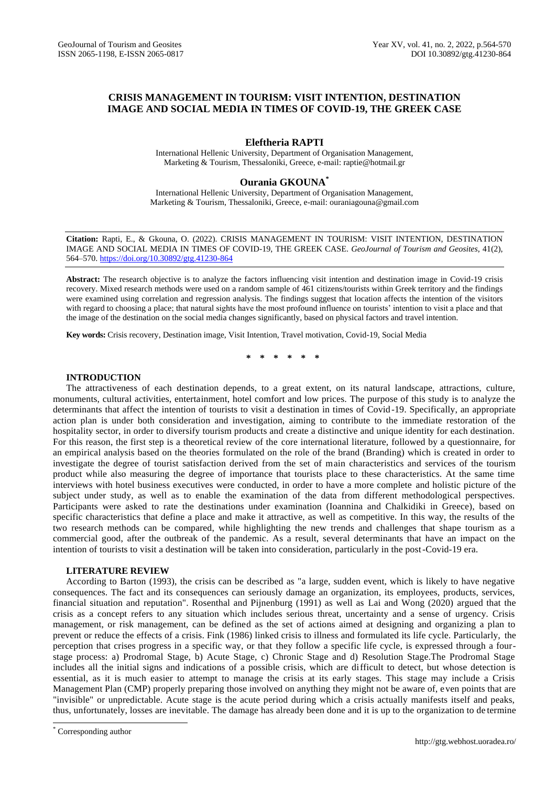# **CRISIS MANAGEMENT IN TOURISM: VISIT INTENTION, DESTINATION IMAGE AND SOCIAL MEDIA IN TIMES OF COVID-19, THE GREEK CASE**

# **Eleftheria RAPTI**

International Hellenic University, Department of Organisation Management, Marketing & Tourism, Thessaloniki, Greece, e-mail: raptie@hotmail.gr

## **Ourania GKOUNA\***

International Hellenic University, Department of Organisation Management, Marketing & Tourism, Thessaloniki, Greece, e-mail: ouraniagouna@gmail.com

**Citation:** Rapti, E., & Gkouna, O. (2022). CRISIS MANAGEMENT IN TOURISM: VISIT INTENTION, DESTINATION IMAGE AND SOCIAL MEDIA IN TIMES OF COVID-19, THE GREEK CASE. *GeoJournal of Tourism and Geosites*, 41(2), 564–570. <https://doi.org/10.30892/gtg.41230-864>

**Abstract:** The research objective is to analyze the factors influencing visit intention and destination image in Covid-19 crisis recovery. Mixed research methods were used on a random sample of 461 citizens/tourists within Greek territory and the findings were examined using correlation and regression analysis. The findings suggest that location affects the intention of the visitors with regard to choosing a place; that natural sights have the most profound influence on tourists' intention to visit a place and that the image of the destination on the social media changes significantly, based on physical factors and travel intention.

**Key words:** Crisis recovery, Destination image, Visit Intention, Travel motivation, Covid-19, Social Media

**\* \* \* \* \* \***

## **INTRODUCTION**

The attractiveness of each destination depends, to a great extent, on its natural landscape, attractions, culture, monuments, cultural activities, entertainment, hotel comfort and low prices. The purpose of this study is to analyze the determinants that affect the intention of tourists to visit a destination in times of Covid-19. Specifically, an appropriate action plan is under both consideration and investigation, aiming to contribute to the immediate restoration of the hospitality sector, in order to diversify tourism products and create a distinctive and unique identity for each destination. For this reason, the first step is a theoretical review of the core international literature, followed by a questionnaire, for an empirical analysis based on the theories formulated on the role of the brand (Branding) which is created in order to investigate the degree of tourist satisfaction derived from the set of main characteristics and services of the tourism product while also measuring the degree of importance that tourists place to these characteristics. At the same time interviews with hotel business executives were conducted, in order to have a more complete and holistic picture of the subject under study, as well as to enable the examination of the data from different methodological perspectives. Participants were asked to rate the destinations under examination (Ioannina and Chalkidiki in Greece), based on specific characteristics that define a place and make it attractive, as well as competitive. In this way, the results of the two research methods can be compared, while highlighting the new trends and challenges that shape tourism as a commercial good, after the outbreak of the pandemic. As a result, several determinants that have an impact on the intention of tourists to visit a destination will be taken into consideration, particularly in the post-Covid-19 era.

### **LITERATURE REVIEW**

According to Barton (1993), the crisis can be described as "a large, sudden event, which is likely to have negative consequences. The fact and its consequences can seriously damage an organization, its employees, products, services, financial situation and reputation". Rosenthal and Pijnenburg (1991) as well as Lai and Wong (2020) argued that the crisis as a concept refers to any situation which includes serious threat, uncertainty and a sense of urgency. Crisis management, or risk management, can be defined as the set of actions aimed at designing and organizing a plan to prevent or reduce the effects of a crisis. Fink (1986) linked crisis to illness and formulated its life cycle. Particularly, the perception that crises progress in a specific way, or that they follow a specific life cycle, is expressed through a fourstage process: a) Prodromal Stage, b) Acute Stage, c) Chronic Stage and d) Resolution Stage.The Prodromal Stage includes all the initial signs and indications of a possible crisis, which are difficult to detect, but whose detection is essential, as it is much easier to attempt to manage the crisis at its early stages. This stage may include a Crisis Management Plan (CMP) properly preparing those involved on anything they might not be aware of, even points that are "invisible" or unpredictable. Acute stage is the acute period during which a crisis actually manifests itself and peaks, thus, unfortunately, losses are inevitable. The damage has already been done and it is up to the organization to de termine

 $\overline{\phantom{a}}$ 

<sup>\*</sup> Corresponding author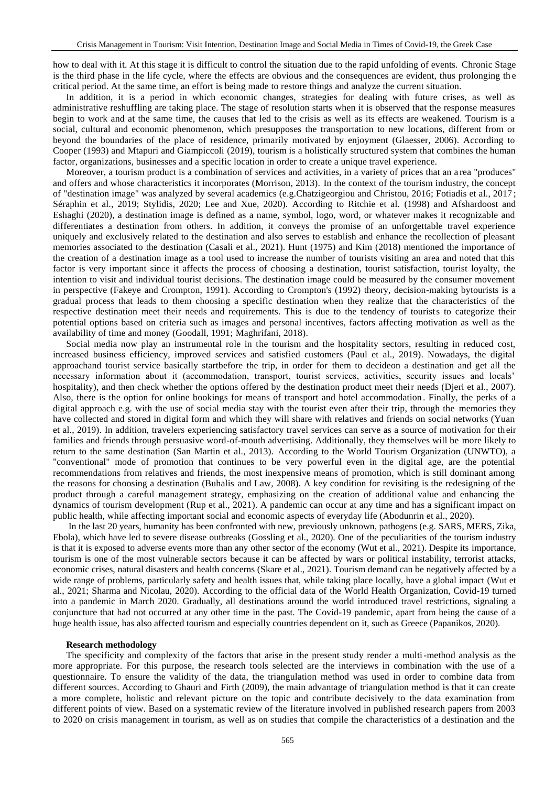how to deal with it. At this stage it is difficult to control the situation due to the rapid unfolding of events. Chronic Stage is the third phase in the life cycle, where the effects are obvious and the consequences are evident, thus prolonging the critical period. At the same time, an effort is being made to restore things and analyze the current situation.

In addition, it is a period in which economic changes, strategies for dealing with future crises, as well as administrative reshuffling are taking place. The stage of resolution starts when it is observed that the response measures begin to work and at the same time, the causes that led to the crisis as well as its effects are weakened. Tourism is a social, cultural and economic phenomenon, which presupposes the transportation to new locations, different from or beyond the boundaries of the place of residence, primarily motivated by enjoyment (Glaesser, 2006). According to Cooper (1993) and Mtapuri and Giampiccoli (2019), tourism is a holistically structured system that combines the human factor, organizations, businesses and a specific location in order to create a unique travel experience.

Moreover, a tourism product is a combination of services and activities, in a variety of prices that an a rea "produces" and offers and whose characteristics it incorporates (Morrison, 2013). In the context of the tourism industry, the concept of "destination image" was analyzed by several academics (e.g.Chatzigeorgiou and Christou, 2016; Fotiadis et al., 2017 ; Séraphin et al., 2019; Stylidis, 2020; Lee and Xue, 2020). According to Ritchie et al. (1998) and Afshardoost and Eshaghi (2020), a destination image is defined as a name, symbol, logo, word, or whatever makes it recognizable and differentiates a destination from others. In addition, it conveys the promise of an unforgettable travel experience uniquely and exclusively related to the destination and also serves to establish and enhance the recollection of pleasant memories associated to the destination (Casali et al., 2021). Hunt (1975) and Kim (2018) mentioned the importance of the creation of a destination image as a tool used to increase the number of tourists visiting an area and noted that this factor is very important since it affects the process of choosing a destination, tourist satisfaction, tourist loyalty, the intention to visit and individual tourist decisions. The destination image could be measured by the consumer movement in perspective (Fakeye and Crompton, 1991). According to Crompton's (1992) theory, decision-making bytourists is a gradual process that leads to them choosing a specific destination when they realize that the characteristics of the respective destination meet their needs and requirements. This is due to the tendency of tourists to categorize their potential options based on criteria such as images and personal incentives, factors affecting motivation as well as the availability of time and money (Goodall, 1991; Maghrifani, 2018).

Social media now play an instrumental role in the tourism and the hospitality sectors, resulting in reduced cost, increased business efficiency, improved services and satisfied customers (Paul et al., 2019). Nowadays, the digital approachand tourist service basically startbefore the trip, in order for them to decideon a destination and get all the necessary information about it (accommodation, transport, tourist services, activities, security issues and locals' hospitality), and then check whether the options offered by the destination product meet their needs (Djeri et al., 2007). Also, there is the option for online bookings for means of transport and hotel accommodation. Finally, the perks of a digital approach e.g. with the use of social media stay with the tourist even after their trip, through the memories they have collected and stored in digital form and which they will share with relatives and friends on social networks (Yuan et al., 2019). In addition, travelers experiencing satisfactory travel services can serve as a source of motivation for their families and friends through persuasive word-of-mouth advertising. Additionally, they themselves will be more likely to return to the same destination (San Martin et al., 2013). According to the World Tourism Organization (UNWTO), a "conventional" mode of promotion that continues to be very powerful even in the digital age, are the potential recommendations from relatives and friends, the most inexpensive means of promotion, which is still dominant among the reasons for choosing a destination (Buhalis and Law, 2008). A key condition for revisiting is the redesigning of the product through a careful management strategy, emphasizing on the creation of additional value and enhancing the dynamics of tourism development (Rup et al., 2021). A pandemic can occur at any time and has a significant impact on public health, while affecting important social and economic aspects of everyday life (Abodunrin et al., 2020).

In the last 20 years, humanity has been confronted with new, previously unknown, pathogens (e.g. SARS, MERS, Zika, Ebola), which have led to severe disease outbreaks (Gossling et al., 2020). One of the peculiarities of the tourism industry is that it is exposed to adverse events more than any other sector of the economy (Wut et al., 2021). Despite its importance, tourism is one of the most vulnerable sectors because it can be affected by wars or political instability, terrorist attacks, economic crises, natural disasters and health concerns (Skare et al., 2021). Tourism demand can be negatively affected by a wide range of problems, particularly safety and health issues that, while taking place locally, have a global impact (Wut et al., 2021; Sharma and Nicolau, 2020). According to the official data of the World Health Organization, Covid-19 turned into a pandemic in March 2020. Gradually, all destinations around the world introduced travel restrictions, signaling a conjuncture that had not occurred at any other time in the past. The Covid-19 pandemic, apart from being the cause of a huge health issue, has also affected tourism and especially countries dependent on it, such as Greece (Papanikos, 2020).

#### **Research methodology**

The specificity and complexity of the factors that arise in the present study render a multi-method analysis as the more appropriate. For this purpose, the research tools selected are the interviews in combination with the use of a questionnaire. To ensure the validity of the data, the triangulation method was used in order to combine data from different sources. According to Ghauri and Firth (2009), the main advantage of triangulation method is that it can create a more complete, holistic and relevant picture on the topic and contribute decisively to the data examination from different points of view. Based on a systematic review of the literature involved in published research papers from 2003 to 2020 on crisis management in tourism, as well as on studies that compile the characteristics of a destination and the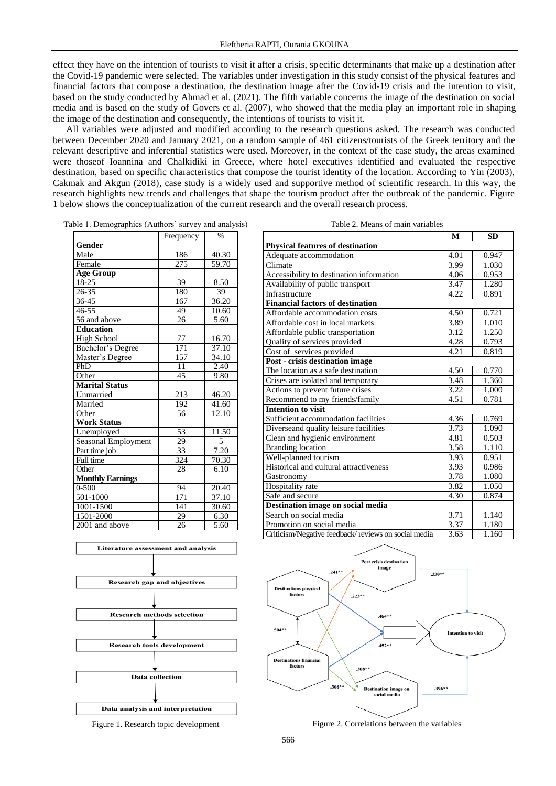effect they have on the intention of tourists to visit it after a crisis, specific determinants that make up a destination after the Covid-19 pandemic were selected. The variables under investigation in this study consist of the physical features and financial factors that compose a destination, the destination image after the Covid-19 crisis and the intention to visit, based on the study conducted by Ahmad et al. (2021). The fifth variable concerns the image of the destination on social media and is based on the study of Govers et al. (2007), who showed that the media play an important role in shaping the image of the destination and consequently, the intentions of tourists to visit it.

All variables were adjusted and modified according to the research questions asked. The research was conducted between December 2020 and January 2021, on a random sample of 461 citizens/tourists of the Greek territory and the relevant descriptive and inferential statistics were used. Moreover, in the context of the case study, the areas examined were thoseof Ioannina and Chalkidiki in Greece, where hotel executives identified and evaluated the respective destination, based on specific characteristics that compose the tourist identity of the location. According to Yin (2003), Cakmak and Akgun (2018), case study is a widely used and supportive method of scientific research. In this way, the research highlights new trends and challenges that shape the tourism product after the outbreak of the pandemic. Figure 1 below shows the conceptualization of the current research and the overall research process.

Table 1. Demographics (Authors' survey and analysis)

Table 2. Means of main variables

|                         | Frequency       | $\%$              |
|-------------------------|-----------------|-------------------|
| Gender                  |                 |                   |
| Male                    | 186             | 40.30             |
| Female                  | 275             | 59.70             |
| <b>Age Group</b>        |                 |                   |
| $18 - 25$               | 39              | 8.50              |
| $26 - 35$               | 180             | 39                |
| 36-45                   | 167             | 36.20             |
| $46 - 55$               | 49              | 10.60             |
| 56 and above            | 26              | $\overline{5.60}$ |
| <b>Education</b>        |                 |                   |
| <b>High School</b>      | 77              | 16.70             |
| Bachelor's Degree       | 171             | 37.10             |
| Master's Degree         | 157             | 34.10             |
| PhD                     | $\overline{11}$ | 2.40              |
| Other                   | 45              | 9.80              |
| <b>Marital Status</b>   |                 |                   |
| Unmarried               | 213             | 46.20             |
| Married                 | 192             | 41.60             |
| Other                   | 56              | 12.10             |
| <b>Work Status</b>      |                 |                   |
| Unemployed              | 53              | 11.50             |
| Seasonal Employment     | 29              | 5                 |
| Part time job           | 33              | 7.20              |
| Full time               | 324             | 70.30             |
| Other                   | 28              | 6.10              |
| <b>Monthly Earnings</b> |                 |                   |
| $0 - 500$               | 94              | 20.40             |
| 501-1000                | 171             | 37.10             |
| 1001-1500               | 141             | 30.60             |
| 1501-2000               | 29              | 6.30              |
| 2001 and above          | 26              | 5.60              |





|                                                     | M                 | <b>SD</b> |
|-----------------------------------------------------|-------------------|-----------|
| <b>Physical features of destination</b>             |                   |           |
| Adequate accommodation                              | 4.01              | 0.947     |
| Climate                                             | 3.99              | 1.030     |
| Accessibility to destination information            | 4.06              | 0.953     |
| Availability of public transport                    | 3.47              | 1.280     |
| Infrastructure                                      | 4.22              | 0.891     |
| <b>Financial factors of destination</b>             |                   |           |
| Affordable accommodation costs                      | 4.50              | 0.721     |
| Affordable cost in local markets                    | 3.89              | 1.010     |
| Affordable public transportation                    | 3.12              | 1.250     |
| Quality of services provided                        | 4.28              | 0.793     |
| Cost of services provided                           | 4.21              | 0.819     |
| Post - crisis destination image                     |                   |           |
| The location as a safe destination                  | 4.50              | 0.770     |
| Crises are isolated and temporary                   | 3.48              | 1.360     |
| Actions to prevent future crises                    | $\overline{3.22}$ | 1.000     |
| Recommend to my friends/family                      | 4.51              | 0.781     |
| <b>Intention to visit</b>                           |                   |           |
| Sufficient accommodation facilities                 | 4.36              | 0.769     |
| Diverseand quality leisure facilities               | 3.73              | 1.090     |
| Clean and hygienic environment                      | 4.81              | 0.503     |
| <b>Branding location</b>                            | 3.58              | 1.110     |
| Well-planned tourism                                | 3.93              | 0.951     |
| Historical and cultural attractiveness              | 3.93              | 0.986     |
| Gastronomy                                          | $\overline{3.78}$ | 1.080     |
| Hospitality rate                                    | 3.82              | 1.050     |
| Safe and secure                                     | 4.30              | 0.874     |
| Destination image on social media                   |                   |           |
| Search on social media                              | 3.71              | 1.140     |
| Promotion on social media                           | 3.37              | 1.180     |
| Criticism/Negative feedback/reviews on social media | 3.63              | 1.160     |



Figure 2. Correlations between the variables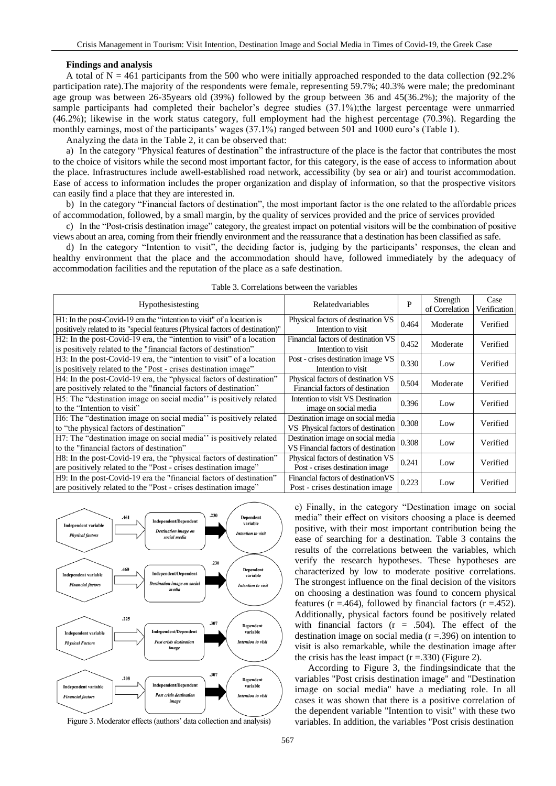#### **Findings and analysis**

A total of  $N = 461$  participants from the 500 who were initially approached responded to the data collection (92.2%) participation rate).The majority of the respondents were female, representing 59.7%; 40.3% were male; the predominant age group was between 26-35years old (39%) followed by the group between 36 and 45(36.2%); the majority of the sample participants had completed their bachelor's degree studies (37.1%);the largest percentage were unmarried (46.2%); likewise in the work status category, full employment had the highest percentage (70.3%). Regarding the monthly earnings, most of the participants' wages (37.1%) ranged between 501 and 1000 euro's (Table 1).

Analyzing the data in the Table 2, it can be observed that:

a) In the category "Physical features of destination" the infrastructure of the place is the factor that contributes the most to the choice of visitors while the second most important factor, for this category, is the ease of access to information about the place. Infrastructures include awell-established road network, accessibility (by sea or air) and tourist accommodation. Ease of access to information includes the proper organization and display of information, so that the prospective visitors can easily find a place that they are interested in.

b) In the category "Financial factors of destination", the most important factor is the one related to the affordable prices of accommodation, followed, by a small margin, by the quality of services provided and the price of services provided

c) In the "Post-crisis destination image" category, the greatest impact on potential visitors will be the combination of positive views about an area, coming from their friendly environment and the reassurance that a destination has been classified as safe.

d) In the category "Intention to visit", the deciding factor is, judging by the participants' responses, the clean and healthy environment that the place and the accommodation should have, followed immediately by the adequacy of accommodation facilities and the reputation of the place as a safe destination.

|                                                                                |                                     |       | Strength       | Case         |
|--------------------------------------------------------------------------------|-------------------------------------|-------|----------------|--------------|
| Hypothesistesting                                                              | Relatedvariables                    | P     | of Correlation | Verification |
| H1: In the post-Covid-19 era the "intention to visit" of a location is         | Physical factors of destination VS  | 0.464 | Moderate       | Verified     |
| positively related to its "special features (Physical factors of destination)" | Intention to visit                  |       |                |              |
| H2: In the post-Covid-19 era, the "intention to visit" of a location           | Financial factors of destination VS | 0.452 | Moderate       | Verified     |
| is positively related to the "financial factors of destination"                | Intention to visit                  |       |                |              |
| H3: In the post-Covid-19 era, the "intention to visit" of a location           | Post - crises destination image VS  | 0.330 | Low            | Verified     |
| is positively related to the "Post - crises destination image"                 | Intention to visit                  |       |                |              |
| H4: In the post-Covid-19 era, the "physical factors of destination"            | Physical factors of destination VS  | 0.504 | Moderate       | Verified     |
| are positively related to the "financial factors of destination"               | Financial factors of destination    |       |                |              |
| H <sub>2</sub> : The "destination image on social media" is positively related | Intention to visit VS Destination   | 0.396 | Low            | Verified     |
| to the "Intention to visit"                                                    | image on social media               |       |                |              |
| H6: The "destination image on social media" is positively related              | Destination image on social media   | 0.308 | Low            | Verified     |
| to "the physical factors of destination"                                       | VS Physical factors of destination  |       |                |              |
| H7: The "destination image on social media" is positively related              | Destination image on social media   | 0.308 | Low            | Verified     |
| to the "financial factors of destination"                                      | VS Financial factors of destination |       |                |              |
| H8: In the post-Covid-19 era, the "physical factors of destination"            | Physical factors of destination VS  | 0.241 | Low            | Verified     |
| are positively related to the "Post - crises destination image"                | Post - crises destination image     |       |                |              |
| H9: In the post-Covid-19 era the "financial factors of destination"            | Financial factors of destination VS | 0.223 |                | Verified     |
| are positively related to the "Post - crises destination image"                | Post - crises destination image     |       | Low            |              |
|                                                                                |                                     |       |                |              |





Figure 3. Moderator effects (authors' data collection and analysis)

e) Finally, in the category "Destination image on social media" their effect on visitors choosing a place is deemed positive, with their most important contribution being the ease of searching for a destination. Table 3 contains the results of the correlations between the variables, which verify the research hypotheses. These hypotheses are characterized by low to moderate positive correlations. The strongest influence on the final decision of the visitors on choosing a destination was found to concern physical features ( $r = .464$ ), followed by financial factors ( $r = .452$ ). Additionally, physical factors found be positively related with financial factors  $(r = .504)$ . The effect of the destination image on social media  $(r = .396)$  on intention to visit is also remarkable, while the destination image after the crisis has the least impact  $(r = .330)$  (Figure 2).

According to Figure 3, the findingsindicate that the variables "Post crisis destination image" and "Destination image on social media" have a mediating role. In all cases it was shown that there is a positive correlation of the dependent variable "Intention to visit" with these two variables. In addition, the variables "Post crisis destination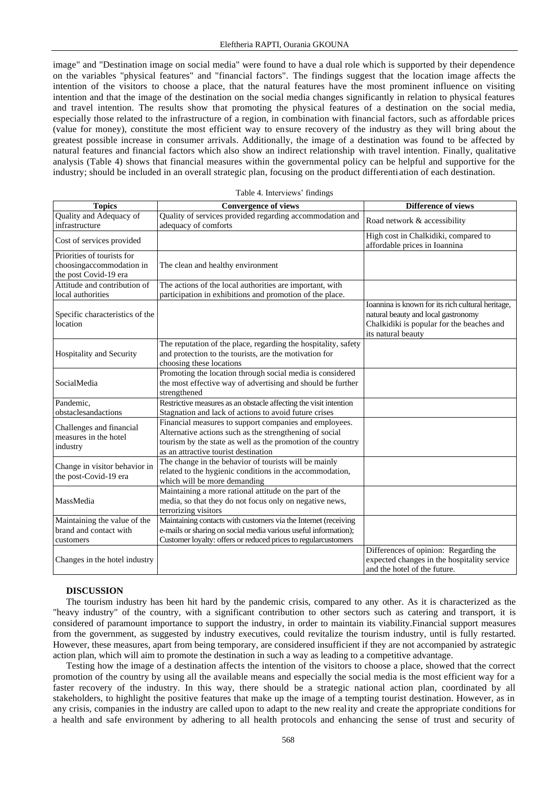image" and "Destination image on social media" were found to have a dual role which is supported by their dependence on the variables "physical features" and "financial factors". The findings suggest that the location image affects the intention of the visitors to choose a place, that the natural features have the most prominent influence on visiting intention and that the image of the destination on the social media changes significantly in relation to physical features and travel intention. The results show that promoting the physical features of a destination on the social media, especially those related to the infrastructure of a region, in combination with financial factors, such as affordable prices (value for money), constitute the most efficient way to ensure recovery of the industry as they will bring about the greatest possible increase in consumer arrivals. Additionally, the image of a destination was found to be affected by natural features and financial factors which also show an indirect relationship with travel intention. Finally, qualitative analysis (Table 4) shows that financial measures within the governmental policy can be helpful and supportive for the industry; should be included in an overall strategic plan, focusing on the product differenti ation of each destination.

| <b>Topics</b>                                                 | <b>Convergence of views</b>                                                                                                                                                                                               | <b>Difference of views</b>                                                                                                                                  |
|---------------------------------------------------------------|---------------------------------------------------------------------------------------------------------------------------------------------------------------------------------------------------------------------------|-------------------------------------------------------------------------------------------------------------------------------------------------------------|
| Quality and Adequacy of<br>infrastructure                     | Quality of services provided regarding accommodation and<br>adequacy of comforts                                                                                                                                          | Road network & accessibility                                                                                                                                |
| Cost of services provided                                     |                                                                                                                                                                                                                           | High cost in Chalkidiki, compared to<br>affordable prices in Ioannina                                                                                       |
| Priorities of tourists for                                    |                                                                                                                                                                                                                           |                                                                                                                                                             |
| choosingaccommodation in<br>the post Covid-19 era             | The clean and healthy environment                                                                                                                                                                                         |                                                                                                                                                             |
| Attitude and contribution of                                  | The actions of the local authorities are important, with                                                                                                                                                                  |                                                                                                                                                             |
| local authorities                                             | participation in exhibitions and promotion of the place.                                                                                                                                                                  |                                                                                                                                                             |
| Specific characteristics of the<br>location                   |                                                                                                                                                                                                                           | Ioannina is known for its rich cultural heritage,<br>natural beauty and local gastronomy<br>Chalkidiki is popular for the beaches and<br>its natural beauty |
| Hospitality and Security                                      | The reputation of the place, regarding the hospitality, safety<br>and protection to the tourists, are the motivation for<br>choosing these locations                                                                      |                                                                                                                                                             |
| SocialMedia                                                   | Promoting the location through social media is considered<br>the most effective way of advertising and should be further<br>strengthened                                                                                  |                                                                                                                                                             |
| Pandemic,                                                     | Restrictive measures as an obstacle affecting the visit intention                                                                                                                                                         |                                                                                                                                                             |
| obstaclesandactions                                           | Stagnation and lack of actions to avoid future crises                                                                                                                                                                     |                                                                                                                                                             |
| Challenges and financial<br>measures in the hotel<br>industry | Financial measures to support companies and employees.<br>Alternative actions such as the strengthening of social<br>tourism by the state as well as the promotion of the country<br>as an attractive tourist destination |                                                                                                                                                             |
| Change in visitor behavior in<br>the post-Covid-19 era        | The change in the behavior of tourists will be mainly<br>related to the hygienic conditions in the accommodation,<br>which will be more demanding                                                                         |                                                                                                                                                             |
| MassMedia                                                     | Maintaining a more rational attitude on the part of the<br>media, so that they do not focus only on negative news,<br>terrorizing visitors                                                                                |                                                                                                                                                             |
| Maintaining the value of the                                  | Maintaining contacts with customers via the Internet (receiving                                                                                                                                                           |                                                                                                                                                             |
| brand and contact with                                        | e-mails or sharing on social media various useful information);                                                                                                                                                           |                                                                                                                                                             |
| customers                                                     | Customer loyalty: offers or reduced prices to regularcustomers                                                                                                                                                            |                                                                                                                                                             |
| Changes in the hotel industry                                 |                                                                                                                                                                                                                           | Differences of opinion: Regarding the<br>expected changes in the hospitality service<br>and the hotel of the future.                                        |

|  |  | Table 4. Interviews' findings |  |
|--|--|-------------------------------|--|
|--|--|-------------------------------|--|

## **DISCUSSION**

The tourism industry has been hit hard by the pandemic crisis, compared to any other. As it is characterized as the "heavy industry" of the country, with a significant contribution to other sectors such as catering and transport, it is considered of paramount importance to support the industry, in order to maintain its viability.Financial support measures from the government, as suggested by industry executives, could revitalize the tourism industry, until is fully restarted. However, these measures, apart from being temporary, are considered insufficient if they are not accompanied by astrategic action plan, which will aim to promote the destination in such a way as leading to a competitive advantage.

Testing how the image of a destination affects the intention of the visitors to choose a place, showed that the correct promotion of the country by using all the available means and especially the social media is the most efficient way for a faster recovery of the industry. In this way, there should be a strategic national action plan, coordinated by all stakeholders, to highlight the positive features that make up the image of a tempting tourist destination. However, as in any crisis, companies in the industry are called upon to adapt to the new reality and create the appropriate conditions for a health and safe environment by adhering to all health protocols and enhancing the sense of trust and security of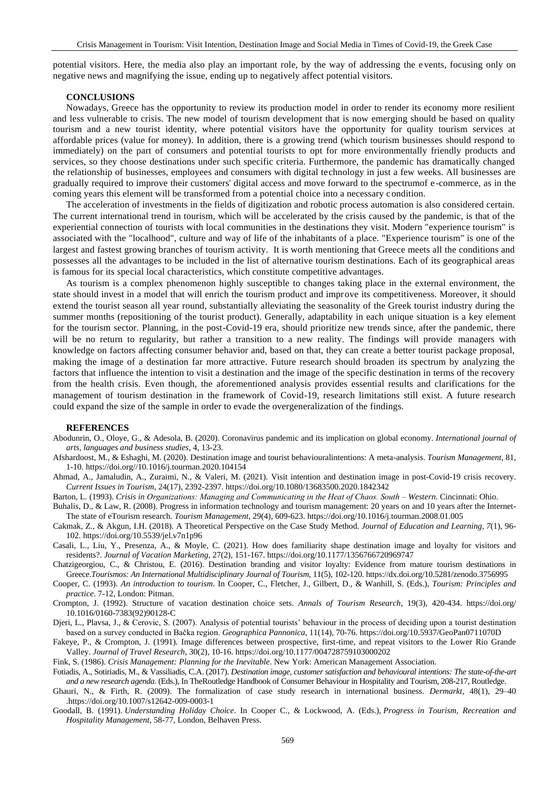potential visitors. Here, the media also play an important role, by the way of addressing the events, focusing only on negative news and magnifying the issue, ending up to negatively affect potential visitors.

## **CONCLUSIONS**

Nowadays, Greece has the opportunity to review its production model in order to render its economy more resilient and less vulnerable to crisis. The new model of tourism development that is now emerging should be based on quality tourism and a new tourist identity, where potential visitors have the opportunity for quality tourism services at affordable prices (value for money). In addition, there is a growing trend (which tourism businesses should respond to immediately) on the part of consumers and potential tourists to opt for more environmentally friendly products and services, so they choose destinations under such specific criteria. Furthermore, the pandemic has dramatically changed the relationship of businesses, employees and consumers with digital technology in just a few weeks. All businesses are gradually required to improve their customers' digital access and move forward to the spectrumof e -commerce, as in the coming years this element will be transformed from a potential choice into a necessary condition.

The acceleration of investments in the fields of digitization and robotic process automation is also considered certain. The current international trend in tourism, which will be accelerated by the crisis caused by the pandemic, is that of the experiential connection of tourists with local communities in the destinations they visit. Modern "experience tourism" is associated with the "localhood", culture and way of life of the inhabitants of a place. "Experience tourism" is one of the largest and fastest growing branches of tourism activity. It is worth mentioning that Greece meets all the conditions and possesses all the advantages to be included in the list of alternative tourism destinations. Each of its geographical areas is famous for its special local characteristics, which constitute competitive advantages.

As tourism is a complex phenomenon highly susceptible to changes taking place in the external environment, the state should invest in a model that will enrich the tourism product and improve its competitiveness. Moreover, it should extend the tourist season all year round, substantially alleviating the seasonality of the Greek tourist industry during the summer months (repositioning of the tourist product). Generally, adaptability in each unique situation is a key element for the tourism sector. Planning, in the post-Covid-19 era, should prioritize new trends since, after the pandemic, there will be no return to regularity, but rather a transition to a new reality. The findings will provide managers with knowledge on factors affecting consumer behavior and, based on that, they can create a better tourist package proposal, making the image of a destination far more attractive. Future research should broaden its spectrum by analyzing the factors that influence the intention to visit a destination and the image of the specific destination in terms of the recovery from the health crisis. Even though, the aforementioned analysis provides essential results and clarifications for the management of tourism destination in the framework of Covid-19, research limitations still exist. A future research could expand the size of the sample in order to evade the overgeneralization of the findings.

#### **REFERENCES**

- Abodunrin, O., Oloye, G., & Adesola, B. (2020). Coronavirus pandemic and its implication on global economy. *International journal of arts, languages and business studies*, 4, 13-23.
- Afshardoost, M., & Eshaghi, M. (2020). Destination image and tourist behaviouralintentions: A meta-analysis. *Tourism Management*, 81, 1-10. [https://doi.org//10.1016/j.tourman.2020.104154](https://doi.org/10.1016/j.tourman.2020.104154)
- Ahmad, A., Jamaludin, A., Zuraimi, N., & Valeri, M. (2021). Visit intention and destination image in post-Covid-19 crisis recovery. *Current Issues in Tourism*, 24(17), 2392-2397. <https://doi.org/10.1080/13683500.2020.1842342>

Barton, L. (1993). *Crisis in Organizations: Managing and Communicating in the Heat οf Chaos. South – Western*. Cincinnati: Ohio.

Buhalis, D., & Law, R. (2008). Progress in information technology and tourism management: 20 years on and 10 years after the Internet-The state of eTourism research. *Tourism Management*, 29(4), 609-623. <https://doi.org/10.1016/j.tourman.2008.01.005>

- Cakmak, Z., & Akgun, I.H. (2018). A Theoretical Perspective on the Case Study Method. *Journal of Education and Learning*, *7*(1), 96- 102. https://doi.org/10.5539/jel.v7n1p96
- Casali, L., Liu, Y., Presenza, A., & Moyle, C. (2021). How does familiarity shape destination image and loyalty for visitors and residents?. *Journal of Vacation Marketing*, 27(2), 151-167. [https://doi.org/10.1177/1356766720969747](https://doi.org/10.1177%2F1356766720969747)
- Chatzigeorgiou, C., & Christou, E. (2016). Destination branding and visitor loyalty: Evidence from mature tourism destinations in Greece.*Tourismos: An International Multidisciplinary Journal of Tourism*, 11(5), 102-120. https://dx.doi.org/10.5281/zenodo.3756995

Cooper, C. (1993). *An introduction to tourism*. In Cooper, C., Fletcher, J., Gilbert, D., & Wanhill, S. (Eds.), *Tourism: Principles and practice*. 7-12, London: Pitman.

- Crompton, J. (1992). Structure of vacation destination choice sets. *Annals of Tourism Research*, 19(3), 420-434. [https://doi.org/](https://doi.org/%2010.1016/0160-7383(92)90128-C)  [10.1016/0160-7383\(92\)90128-C](https://doi.org/%2010.1016/0160-7383(92)90128-C)
- Djeri, L., Plavsa, J., & Cerovic, S. (2007). Analysis of potential tourists' behaviour in the process of deciding upon a tourist destination based on a survey conducted in Bačka region. *Geographica Pannonica*, 11(14), 70-76. <https://doi.org/10.5937/GeoPan0711070D>

Fakeye, P., & Crompton, J. (1991). Image differences between prospective, first-time, and repeat visitors to the Lower Rio Grande Valley. *Journal of Travel Research*, 30(2), 10-16. [https://doi.org/10.1177/004728759103000202](https://doi.org/10.1177%2F004728759103000202)

Fink, S. (1986). *Crisis Management: Planning for the Inevitable*. New York: American Management Association.

- Fotiadis, A., Sotiriadis, M., & Vassiliadis, C.A. (2017). *Destination image, customer satisfaction and behavioural intentions: The state-of-the-art and a new research agenda*. (Eds.), In TheRoutledge Handbook of Consumer Behaviour in Hospitality and Tourism, 208-217, Routledge.
- Ghauri, N., & Firth, R. (2009). The formalization of case study research in international business. *Dermarkt*, 48(1), 29–40 .https://doi.org/10.1007/s12642-009-0003-1
- Goodall, B. (1991). *Understanding Holiday Choice*. In Cooper C., & Lockwood, A. (Eds.), *Progress in Tourism, Recreation and Hospitality Management*, 58-77, London, Belhaven Press.